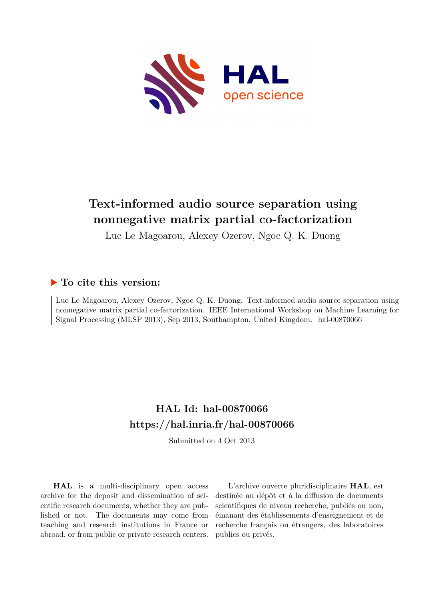

# **Text-informed audio source separation using nonnegative matrix partial co-factorization**

Luc Le Magoarou, Alexey Ozerov, Ngoc Q. K. Duong

## **To cite this version:**

Luc Le Magoarou, Alexey Ozerov, Ngoc Q. K. Duong. Text-informed audio source separation using nonnegative matrix partial co-factorization. IEEE International Workshop on Machine Learning for Signal Processing (MLSP 2013), Sep 2013, Southampton, United Kingdom. hal-00870066

## **HAL Id: hal-00870066 <https://hal.inria.fr/hal-00870066>**

Submitted on 4 Oct 2013

**HAL** is a multi-disciplinary open access archive for the deposit and dissemination of scientific research documents, whether they are published or not. The documents may come from teaching and research institutions in France or abroad, or from public or private research centers.

L'archive ouverte pluridisciplinaire **HAL**, est destinée au dépôt et à la diffusion de documents scientifiques de niveau recherche, publiés ou non, émanant des établissements d'enseignement et de recherche français ou étrangers, des laboratoires publics ou privés.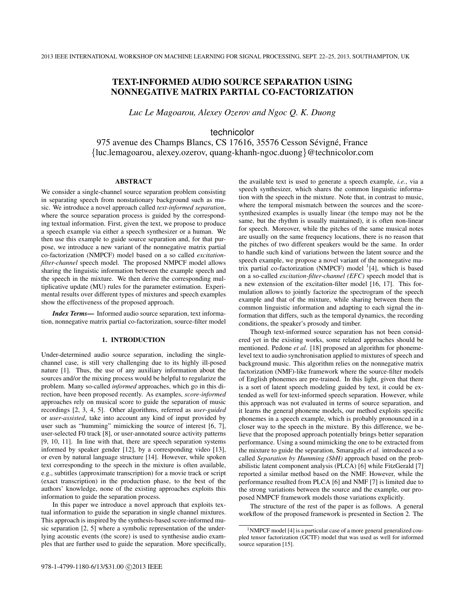### TEXT-INFORMED AUDIO SOURCE SEPARATION USING NONNEGATIVE MATRIX PARTIAL CO-FACTORIZATION

*Luc Le Magoarou, Alexey Ozerov and Ngoc Q. K. Duong*

### technicolor

975 avenue des Champs Blancs, CS 17616, 35576 Cesson Sévigné, France {luc.lemagoarou, alexey.ozerov, quang-khanh-ngoc.duong}@technicolor.com

#### ABSTRACT

We consider a single-channel source separation problem consisting in separating speech from nonstationary background such as music. We introduce a novel approach called *text-informed separation*, where the source separation process is guided by the corresponding textual information. First, given the text, we propose to produce a speech example via either a speech synthesizer or a human. We then use this example to guide source separation and, for that purpose, we introduce a new variant of the nonnegative matrix partial co-factorization (NMPCF) model based on a so called *excitationfilter-channel* speech model. The proposed NMPCF model allows sharing the linguistic information between the example speech and the speech in the mixture. We then derive the corresponding multiplicative update (MU) rules for the parameter estimation. Experimental results over different types of mixtures and speech examples show the effectiveness of the proposed approach.

*Index Terms*— Informed audio source separation, text information, nonnegative matrix partial co-factorization, source-filter model

#### 1. INTRODUCTION

Under-determined audio source separation, including the singlechannel case, is still very challenging due to its highly ill-posed nature [1]. Thus, the use of any auxiliary information about the sources and/or the mixing process would be helpful to regularize the problem. Many so-called *informed* approaches, which go in this direction, have been proposed recently. As examples, *score-informed* approaches rely on musical score to guide the separation of music recordings [2, 3, 4, 5]. Other algorithms, referred as *user-guided* or *user-assisted*, take into account any kind of input provided by user such as "humming" mimicking the source of interest [6, 7], user-selected F0 track [8], or user-annotated source activity patterns [9, 10, 11]. In line with that, there are speech separation systems informed by speaker gender [12], by a corresponding video [13], or even by natural language structure [14]. However, while spoken text corresponding to the speech in the mixture is often available, e.g., subtitles (approximate transcription) for a movie track or script (exact transcription) in the production phase, to the best of the authors' knowledge, none of the existing approaches exploits this information to guide the separation process.

In this paper we introduce a novel approach that exploits textual information to guide the separation in single channel mixtures. This approach is inspired by the synthesis-based score-informed music separation [2, 5] where a symbolic representation of the underlying acoustic events (the score) is used to synthesise audio examples that are further used to guide the separation. More specifically, the available text is used to generate a speech example, *i.e.*, via a speech synthesizer, which shares the common linguistic information with the speech in the mixture. Note that, in contrast to music, where the temporal mismatch between the sources and the scoresynthesized examples is usually linear (the tempo may not be the same, but the rhythm is usually maintained), it is often non-linear for speech. Moreover, while the pitches of the same musical notes are usually on the same frequency locations, there is no reason that the pitches of two different speakers would be the same. In order to handle such kind of variations between the latent source and the speech example, we propose a novel variant of the nonnegative matrix partial co-factorization (NMPCF) model <sup>1</sup>[4], which is based on a so-called *excitation-filter-channel (EFC)* speech model that is a new extension of the excitation-filter model [16, 17]. This formulation allows to jointly factorize the spectrogram of the speech example and that of the mixture, while sharing between them the common linguistic information and adapting to each signal the information that differs, such as the temporal dynamics, the recording conditions, the speaker's prosody and timber.

Though text-informed source separation has not been considered yet in the existing works, some related approaches should be mentioned. Pedone *et al.* [18] proposed an algorithm for phonemelevel text to audio synchronisation applied to mixtures of speech and background music. This algorithm relies on the nonnegative matrix factorization (NMF)-like framework where the source-filter models of English phonemes are pre-trained. In this light, given that there is a sort of latent speech modeling guided by text, it could be extended as well for text-informed speech separation. However, while this approach was not evaluated in terms of source separation, and it learns the general phoneme models, our method exploits specific phonemes in a speech example, which is probably pronounced in a closer way to the speech in the mixture. By this difference, we believe that the proposed approach potentially brings better separation performance. Using a sound mimicking the one to be extracted from the mixture to guide the separation, Smaragdis *et al.* introduced a so called *Separation by Humming (SbH)* approach based on the probabilistic latent component analysis (PLCA) [6] while FitzGerald [7] reported a similar method based on the NMF. However, while the performance resulted from PLCA [6] and NMF [7] is limited due to the strong variations between the source and the example, our proposed NMPCF framework models those variations explicitly.

The structure of the rest of the paper is as follows. A general workflow of the proposed framework is presented in Section 2. The

<sup>&</sup>lt;sup>1</sup>NMPCF model [4] is a particular case of a more general generalized coupled tensor factorization (GCTF) model that was used as well for informed source separation [15].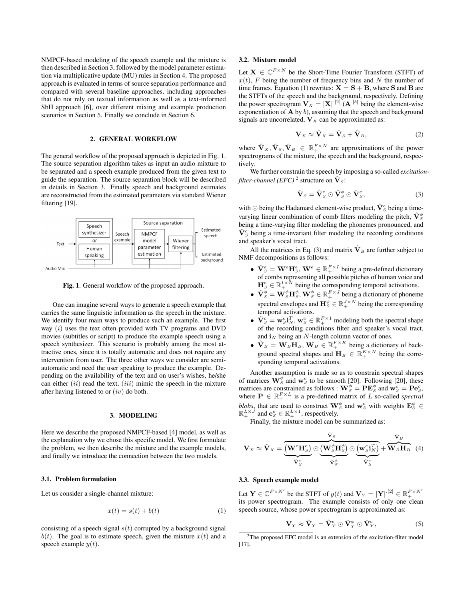NMPCF-based modeling of the speech example and the mixture is then described in Section 3, followed by the model parameter estimation via multiplicative update (MU) rules in Section 4. The proposed approach is evaluated in terms of source separation performance and compared with several baseline approaches, including approaches that do not rely on textual information as well as a text-informed SbH approach [6], over different mixing and example production scenarios in Section 5. Finally we conclude in Section 6.

#### 2. GENERAL WORKFLOW

The general workflow of the proposed approach is depicted in Fig. 1. The source separation algorithm takes as input an audio mixture to be separated and a speech example produced from the given text to guide the separation. The source separation block will be described in details in Section 3. Finally speech and background estimates are reconstructed from the estimated parameters via standard Wiener filtering [19].



Fig. 1. General workflow of the proposed approach.

One can imagine several ways to generate a speech example that carries the same linguistic information as the speech in the mixture. We identify four main ways to produce such an example. The first way  $(i)$  uses the text often provided with TV programs and DVD movies (subtitles or script) to produce the example speech using a speech synthesizer. This scenario is probably among the most attractive ones, since it is totally automatic and does not require any intervention from user. The three other ways we consider are semiautomatic and need the user speaking to produce the example. Depending on the availability of the text and on user's wishes, he/she can either  $(ii)$  read the text,  $(iii)$  mimic the speech in the mixture after having listened to or  $(iv)$  do both.

#### 3. MODELING

Here we describe the proposed NMPCF-based [4] model, as well as the explanation why we chose this specific model. We first formulate the problem, we then describe the mixture and the example models, and finally we introduce the connection between the two models.

#### 3.1. Problem formulation

Let us consider a single-channel mixture:

$$
x(t) = s(t) + b(t) \tag{1}
$$

consisting of a speech signal  $s(t)$  corrupted by a background signal  $b(t)$ . The goal is to estimate speech, given the mixture  $x(t)$  and a speech example  $y(t)$ .

#### 3.2. Mixture model

Let  $X \in \mathbb{C}^{F \times N}$  be the Short-Time Fourier Transform (STFT) of  $x(t)$ , F being the number of frequency bins and N the number of time frames. Equation (1) rewrites:  $X = S + B$ , where S and B are the STFTs of the speech and the background, respectively. Defining the power spectrogram  $V_x = |X|^{[2]} (A^{[b]}$  being the element-wise exponentiation of  $A$  by  $b$ ), assuming that the speech and background signals are uncorrelated,  $V_X$  can be approximated as:

$$
\mathbf{V}_X \approx \hat{\mathbf{V}}_X = \hat{\mathbf{V}}_S + \hat{\mathbf{V}}_B, \tag{2}
$$

where  $\hat{\mathbf{V}}_X, \hat{\mathbf{V}}_S, \hat{\mathbf{V}}_B \in \mathbb{R}_+^{F \times N}$  are approximations of the power spectrograms of the mixture, the speech and the background, respectively.

We further constrain the speech by imposing a so-called *excitationfilter-channel (EFC)*  $^2$  structure on  $\hat{\mathbf{V}}_{S}$ :

$$
\hat{\mathbf{V}}_{S} = \hat{\mathbf{V}}_{S}^{e} \odot \hat{\mathbf{V}}_{S}^{b} \odot \hat{\mathbf{V}}_{S}^{c}, \tag{3}
$$

with  $\odot$  being the Hadamard element-wise product,  $\hat{\mathbf{V}}_{S}^{e}$  being a timevarying linear combination of comb filters modeling the pitch,  $\hat{\mathbf{V}}_s^{\phi}$ being a time-varying filter modeling the phonemes pronounced, and  $\hat{\mathbf{V}}_{S}^{c}$  being a time-invariant filter modeling the recording conditions and speaker's vocal tract.

All the matrices in Eq. (3) and matrix  $\hat{\mathbf{V}}_B$  are further subject to NMF decompositions as follows:

- $\hat{\mathbf{V}}_S^e = \mathbf{W}^e \mathbf{H}_S^e, \mathbf{W}^e \in \mathbb{R}_+^{F \times I}$  being a pre-defined dictionary of combs representing all possible pitches of human voice and  $\mathbf{H}_{S}^{e} \in \mathbb{R}_{+}^{I \times N}$  being the corresponding temporal activations.
- $\hat{\mathbf{V}}_S^{\phi} = \mathbf{W}_S^{\phi} \mathbf{H}_S^{\phi}, \mathbf{W}_S^{\phi} \in \mathbb{R}_+^{F \times J}$  being a dictionary of phoneme spectral envelopes and  $\mathbf{H}_{S}^{\phi} \in \mathbb{R}_{+}^{J \times N}$  being the corresponding temporal activations.
- $\hat{\mathbf{V}}_S^c = \mathbf{w}_S^c \mathbf{i}_N^T$ ,  $\mathbf{w}_S^c \in \mathbb{R}_+^{F \times 1}$  modeling both the spectral shape of the recording conditions filter and speaker's vocal tract, and  $i_N$  being an N-length column vector of ones.
- $\hat{\mathbf{V}}_B = \mathbf{W}_B \mathbf{H}_B$ ,  $\mathbf{W}_B \in \mathbb{R}_+^{F \times K}$  being a dictionary of background spectral shapes and  $H_B \in \mathbb{R}_+^{K \times N}$  being the corresponding temporal activations.

Another assumption is made so as to constrain spectral shapes of matrices  $\mathbf{W}_{S}^{\phi}$  and  $\mathbf{w}_{S}^{c}$  to be smooth [20]. Following [20], these matrices are constrained as follows :  $\mathbf{W}_{S}^{\phi} = \mathbf{P} \mathbf{E}_{S}^{\phi}$  and  $\mathbf{w}_{S}^{c} = \mathbf{P} \mathbf{e}_{S}^{c}$ , where  $P \in \mathbb{R}_+^{F \times L}$  is a pre-defined matrix of L so-called *spectral blobs*, that are used to construct  $\mathbf{W}_{S}^{\phi}$  and  $\mathbf{w}_{S}^{c}$  with weights  $\mathbf{E}_{S}^{\phi} \in$  $\mathbb{R}_+^{L \times J}$  and  $\mathbf{e}_s^c \in \mathbb{R}_+^{L \times 1}$ , respectively.

Finally, the mixture model can be summarized as:

$$
\mathbf{V}_X \approx \hat{\mathbf{V}}_X = \underbrace{\overbrace{\left(\mathbf{W}^e \mathbf{H}^e_S\right)}^{\hat{\mathbf{V}}_S} \odot \underbrace{\left(\mathbf{W}^{\phi}_S \mathbf{H}^{\phi}_S\right)}_{\hat{\mathbf{V}}^e_S} \odot \underbrace{\left(\mathbf{w}^c_S \mathbf{i}^T_N\right)}_{\hat{\mathbf{V}}^e_S} + \overbrace{\mathbf{W}_B \mathbf{H}_B}^{\hat{\mathbf{V}}_B} \tag{4}
$$

#### 3.3. Speech example model

Let  $\mathbf{Y} \in \mathbb{C}^{F \times N'}$  be the STFT of  $y(t)$  and  $\mathbf{V}_Y = |\mathbf{Y}|^{-[2]} \in \mathbb{R}_+^{F \times N'}$ its power spectrogram. The example consists of only one clean speech source, whose power spectrogram is approximated as:

$$
\mathbf{V}_{Y} \approx \hat{\mathbf{V}}_{Y} = \hat{\mathbf{V}}_{Y}^{e} \odot \hat{\mathbf{V}}_{Y}^{\phi} \odot \hat{\mathbf{V}}_{Y}^{c}, \tag{5}
$$

<sup>2</sup>The proposed EFC model is an extension of the excitation-filter model [17].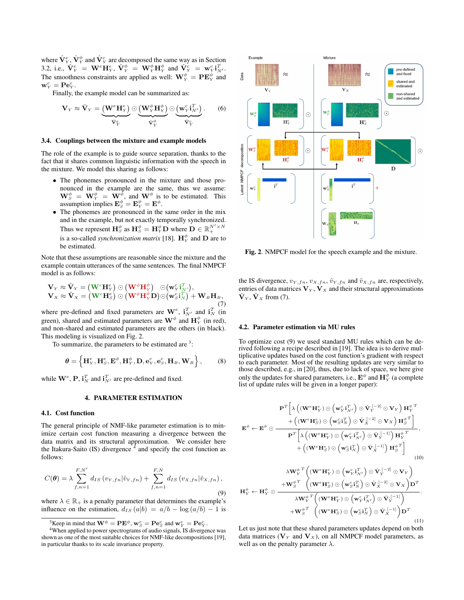where  $\hat{\mathbf{V}}_Y^e$ ,  $\hat{\mathbf{V}}_Y^{\phi}$  and  $\hat{\mathbf{V}}_Y^c$  are decomposed the same way as in Section 3.2, i.e.,  $\hat{\mathbf{V}}_Y^e = \mathbf{W}^e \mathbf{H}_Y^e, \hat{\mathbf{V}}_Y^{\phi} = \mathbf{W}_Y^{\phi} \mathbf{H}_Y^{\phi}$  and  $\hat{\mathbf{V}}_Y^c = \mathbf{w}_Y^c \mathbf{i}_{N'}^T$ . The smoothness constraints are applied as well:  $\mathbf{W}_{Y}^{\phi} = \mathbf{P} \mathbf{E}_{Y}^{\phi}$  and  $\mathbf{w}_Y^c = \mathbf{P} \mathbf{e}_Y^c$ .

Finally, the example model can be summarized as:

$$
\mathbf{V}_{Y} \approx \hat{\mathbf{V}}_{Y} = \underbrace{(\mathbf{W}^{e} \mathbf{H}_{Y}^{e})}_{\hat{\mathbf{V}}_{Y}^{e}} \odot \underbrace{(\mathbf{W}_{Y}^{\phi} \mathbf{H}_{Y}^{\phi})}_{\hat{\mathbf{V}}_{Y}^{\phi}} \odot \underbrace{(\mathbf{w}_{Y}^{c} \mathbf{i}_{N}^{T})}_{\hat{\mathbf{V}}_{Y}^{e}}.
$$
 (6)

#### 3.4. Couplings between the mixture and example models

The role of the example is to guide source separation, thanks to the fact that it shares common linguistic information with the speech in the mixture. We model this sharing as follows:

- The phonemes pronounced in the mixture and those pronounced in the example are the same, thus we assume:  $\mathbf{W}_{S}^{\phi} = \mathbf{W}_{Y}^{\phi} = \mathbf{W}_{Y}^{\phi}$ , and  $\mathbf{W}^{\phi}$  is to be estimated. This assumption implies  $\mathbf{E}_{S}^{\phi} = \mathbf{E}_{Y}^{\phi} = \mathbf{E}^{\phi}$ .
- The phonemes are pronounced in the same order in the mix and in the example, but not exactly temporally synchronized. Thus we represent  $\mathbf{H}_{S}^{\phi}$  as  $\mathbf{H}_{S}^{\phi} = \mathbf{H}_{Y}^{\phi} \mathbf{D}$  where  $\mathbf{D} \in \mathbb{R}_{+}^{N' \times N}$ is a so-called *synchronization matrix* [18].  $\mathbf{H}_{Y}^{\phi}$  and  $\mathbf{D}$  are to be estimated.

Note that these assumptions are reasonable since the mixture and the example contain utterances of the same sentences. The final NMPCF model is as follows:

$$
\mathbf{V}_{Y} \approx \hat{\mathbf{V}}_{Y} = (\mathbf{W}^{e} \mathbf{H}_{Y}^{e}) \odot (\mathbf{W}^{\phi} \mathbf{H}_{Y}^{\phi}) \odot (\mathbf{w}_{Y}^{c} \mathbf{i}_{N'}^{T}), \n\mathbf{V}_{X} \approx \hat{\mathbf{V}}_{X} = (\mathbf{W}^{e} \mathbf{H}_{S}^{e}) \odot (\mathbf{W}^{\phi} \mathbf{H}_{Y}^{\phi} \mathbf{D}) \odot (\mathbf{w}_{S}^{c} \mathbf{i}_{N}^{T}) + \mathbf{W}_{B} \mathbf{H}_{B},
$$
\n(7)

where pre-defined and fixed parameters are  $\mathbf{W}^e$ ,  $\mathbf{i}_{N'}^T$  and  $\mathbf{i}_{N}^T$  (in green), shared and estimated parameters are  $\mathbf{W}^{\phi}$  and  $\mathbf{H}^{\phi}_{Y}$  (in red), and non-shared and estimated parameters are the others (in black). This modeling is visualized on Fig. 2.

To summarize, the parameters to be estimated are  $3$ :

$$
\boldsymbol{\theta} = \left\{ \mathbf{H}_{Y}^{e}, \mathbf{H}_{S}^{e}, \mathbf{E}^{\phi}, \mathbf{H}_{Y}^{\phi}, \mathbf{D}, \mathbf{e}_{Y}^{c}, \mathbf{e}_{S}^{c}, \mathbf{H}_{B}, \mathbf{W}_{B} \right\},\qquad(8)
$$

while  $\mathbf{W}^e$ ,  $\mathbf{P}$ ,  $\mathbf{i}_N^T$  and  $\mathbf{i}_{N'}^T$  are pre-defined and fixed.

#### 4. PARAMETER ESTIMATION

#### 4.1. Cost function

The general principle of NMF-like parameter estimation is to minimize certain cost function measuring a divergence between the data matrix and its structural approximation. We consider here the Itakura-Saito (IS) divergence  $4$  and specify the cost function as follows:

$$
C(\theta) = \lambda \sum_{f,n=1}^{F,N'} d_{IS} (v_{Y,fn} | \hat{v}_{Y,fn}) + \sum_{f,n=1}^{F,N} d_{IS} (v_{X,fn} | \hat{v}_{X,fn}),
$$
\n(9)

where  $\lambda \in \mathbb{R}_+$  is a penalty parameter that determines the example's influence on the estimation,  $d_{IS}(a|b) = a/b - \log(a/b) - 1$  is



Fig. 2. NMPCF model for the speech example and the mixture.

the IS divergence,  $v_{Y,fn}, v_{X,fn}, \hat{v}_{Y,fn}$  and  $\hat{v}_{X,fn}$  are, respectively, entries of data matrices  $V_Y$ ,  $V_X$  and their structural approximations  $\hat{\mathbf{V}}_Y$ ,  $\hat{\mathbf{V}}_X$  from (7).

#### 4.2. Parameter estimation via MU rules

To optimize cost (9) we used standard MU rules which can be derived following a recipe described in [19]. The idea is to derive multiplicative updates based on the cost function's gradient with respect to each parameter. Most of the resulting updates are very similar to those described, e.g., in [20], thus, due to lack of space, we here give only the updates for shared parameters, i.e.,  $\mathbf{E}^\phi$  and  $\mathbf{H}^\phi_Y$  (a complete list of update rules will be given in a longer paper):

$$
\mathbf{P}^T \bigg[ \lambda \left( (\mathbf{W}^e \mathbf{H}_Y^e) \odot \left( \mathbf{w}_Y^c \mathbf{i}_N^T \right) \odot \hat{\mathbf{V}}_Y^{[-2]} \odot \mathbf{V}_Y \right) \mathbf{H}_Y^{\phi}^T \n+ \left( (\mathbf{W}^e \mathbf{H}_S^e) \odot \left( \mathbf{w}_S^c \mathbf{i}_N^T \right) \odot \hat{\mathbf{V}}_X^{[-2]} \odot \mathbf{V}_X \right) \mathbf{H}_S^{\phi}^T \bigg] \n\mathbf{F}^T \bigg[ \lambda \left( (\mathbf{W}^e \mathbf{H}_Y^e) \odot \left( \mathbf{w}_Y^c \mathbf{i}_N^T \right) \odot \hat{\mathbf{V}}_Y^{[-1]} \right) \mathbf{H}_Y^{\phi}^T \n+ \left( (\mathbf{W}^e \mathbf{H}_S^e) \odot \left( \mathbf{w}_S^c \mathbf{i}_N^T \right) \odot \hat{\mathbf{V}}_X^{[-1]} \right) \mathbf{H}_S^{\phi}^T \bigg] \n+ \left( (\mathbf{W}^e \mathbf{H}_S^e) \odot \left( \mathbf{w}_S^c \mathbf{i}_N^T \right) \odot \hat{\mathbf{V}}_X^{[-1]} \right) \mathbf{H}_S^{\phi}^T \bigg] \n+ (10)
$$

$$
\mathbf{H}_{Y}^{\phi} \leftarrow \mathbf{H}_{Y}^{\phi} \odot \frac{\mathbf{W}_{Y}^{\phi}^{T} \left( (\mathbf{W}^{e} \mathbf{H}_{Y}^{e}) \odot (\mathbf{w}_{Y}^{c} \mathbf{i}_{N'}^{T}) \odot \hat{\mathbf{V}}_{Y}^{[-2]} \odot \mathbf{V}_{Y} \right)}{\mathbf{H}_{Y}^{\phi} \leftarrow \mathbf{H}_{Y}^{\phi} \odot \frac{\mathbf{H}_{S}^{\phi}^{T} \left( (\mathbf{W}^{e} \mathbf{H}_{S}^{e}) \odot (\mathbf{w}_{S}^{c} \mathbf{i}_{N}^{T}) \odot \hat{\mathbf{V}}_{X}^{[-2]} \odot \mathbf{V}_{X} \right) \mathbf{D}^{T}}{\lambda \mathbf{W}_{Y}^{\phi}^{T} \left( (\mathbf{W}^{e} \mathbf{H}_{Y}^{e}) \odot (\mathbf{w}_{Y}^{c} \mathbf{i}_{N'}^{T}) \odot \hat{\mathbf{V}}_{Y}^{[-1]} \right)} + \mathbf{W}_{S}^{\phi T} \left( (\mathbf{W}^{e} \mathbf{H}_{S}^{e}) \odot (\mathbf{w}_{S}^{c} \mathbf{i}_{N}^{T}) \odot \hat{\mathbf{V}}_{X}^{[-1]} \right) \mathbf{D}^{T}
$$
\n(11)

Let us just note that these shared parameters updates depend on both data matrices ( $V_Y$  and  $V_X$ ), on all NMPCF model parameters, as well as on the penalty parameter  $\lambda$ .

<sup>&</sup>lt;sup>3</sup>Keep in mind that  $\mathbf{W}^{\phi} = \mathbf{P} \mathbf{E}^{\phi}, \mathbf{w}_{S}^{c} = \mathbf{P} \mathbf{e}_{S}^{c}$  and  $\mathbf{w}_{Y}^{c} = \mathbf{P} \mathbf{e}_{Y}^{c}$ .

<sup>4</sup>When applied to power spectrograms of audio signals, IS divergence was shown as one of the most suitable choices for NMF-like decompositions [19], in particular thanks to its scale invariance property.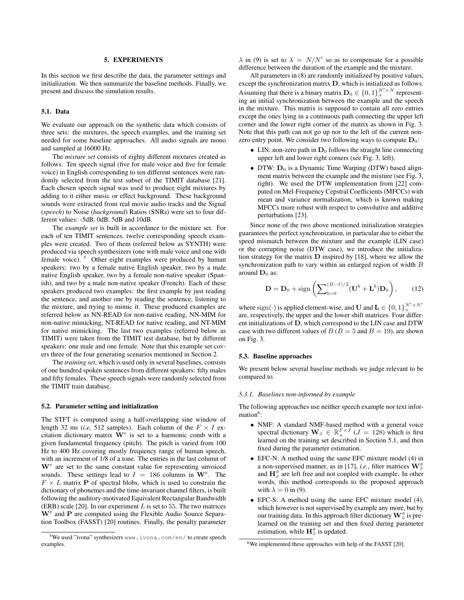#### 5. EXPERIMENTS

In this section we first describe the data, the parameter settings and initialization. We then summarize the baseline methods. Finally, we present and discuss the simulation results.

#### 5.1. Data

We evaluate our approach on the synthetic data which consists of three sets: the mixtures, the speech examples, and the training set needed for some baseline approaches. All audio signals are mono and sampled at 16000 Hz.

The *mixture set* consists of eighty different mixtures created as follows. Ten speech signal (five for male voice and five for female voice) in English corresponding to ten different sentences were randomly selected from the test subset of the TIMIT database [21]. Each chosen speech signal was used to produce eight mixtures by adding to it either music or effect background. These background sounds were extracted from real movie audio tracks and the Signal (*speech*) to Noise (*background*) Ratios (SNRs) were set to four different values: -5dB, 0dB, 5dB and 10dB.

The *example set* is built in accordance to the mixture set. For each of ten TIMIT sentences, twelve corresponding speech examples were created. Two of them (referred below as SYNTH) were produced via speech synthesizers (one with male voice and one with female voice).  $5$  Other eight examples were produced by human speakers: two by a female native English speaker, two by a male native English speaker, two by a female non-native speaker (Spanish), and two by a male non-native speaker (French). Each of these speakers produced two examples: the first example by just reading the sentence, and another one by reading the sentence, listening to the mixture, and trying to mimic it. These produced examples are referred below as NN-READ for non-native reading, NN-MIM for non-native mimicking, NT-READ for native reading, and NT-MIM for native mimicking. The last two examples (referred below as TIMIT) were taken from the TIMIT test database, but by different speakers: one male and one female. Note that this example set covers three of the four generating scenarios mentioned in Section 2.

The *training set*, which is used only in several baselines, consists of one hundred spoken sentences from different speakers: fifty males and fifty females. These speech signals were randomly selected from the TIMIT train database.

#### 5.2. Parameter setting and initialization

The STFT is computed using a half-overlapping sine window of length 32 ms (*i.e,* 512 samples). Each column of the  $F \times I$  excitation dictionary matrix  $\mathbf{W}^e$  is set to a harmonic comb with a given fundamental frequency (pitch). The pitch is varied from 100 Hz to 400 Hz covering mostly frequency range of human speech, with an increment of 1/8 of a tone. The entries in the last column of  $W<sup>e</sup>$  are set to the same constant value for representing unvoiced sounds. These settings lead to  $I = 186$  columns in  $W<sup>e</sup>$ . The  $F \times L$  matrix **P** of spectral blobs, which is used to constrain the dictionary of phonemes and the time-invariant channel filters, is built following the auditory-motivated Equivalent Rectangular Bandwidth (ERB) scale [20]. In our experiment  $L$  is set to 55. The two matrices  $\mathbf{W}^e$  and  $\mathbf{P}$  are computed using the Flexible Audio Source Separation Toolbox (FASST) [20] routines. Finally, the penalty parameter

 $\lambda$  in (9) is set to  $\lambda = N/N'$  so as to compensate for a possible difference between the duration of the example and the mixture.

All parameters in (8) are randomly initialized by positive values, except the synchronization matrix D, which is initialized as follows. Assuming that there is a binary matrix  $\mathbf{D}_0 \in \{0,1\}_{+}^{N' \times N}$  representing an initial synchronization between the example and the speech in the mixture. This matrix is supposed to contain all zero entries except the ones lying in a continuous path connecting the upper left corner and the lower right corner of the matrix as shown in Fig. 3. Note that this path can not go up nor to the left of the current nonzero entry point. We consider two following ways to compute  $D_0$ :

- LIN: non-zero path in  $D_0$  follows the straight line connecting upper left and lower right corners (see Fig. 3, left).
- DTW:  $D_0$  is a Dynamic Time Warping (DTW) based alignment matrix between the example and the mixture (see Fig. 3, right). We used the DTW implementation from [22] computed on Mel-Frequency Cepstral Coefficients (MFCCs) with mean and variance normalization, which is known making MFCCs more robust with respect to convolutive and additive perturbations [23].

Since none of the two above mentioned initialization strategies guarantees the perfect synchronization, in particular due to either the speed mismatch between the mixture and the example (LIN case) or the corrupting noise (DTW case), we introduce the initialization strategy for the matrix D inspired by [18], where we allow the synchronization path to vary within an enlarged region of width B around  $D_0$  as:

$$
\mathbf{D} = \mathbf{D}_0 + \text{sign}\left(\sum_{b=0}^{(B-1)/2} (\mathbf{U}^b + \mathbf{L}^b) \mathbf{D}_0\right),\qquad(12)
$$

where  $\text{sign}(\cdot)$  is applied element-wise, and U and  $\mathbf{L} \in \{0,1\}^{N' \times N'}_{+}$ are, respectively, the upper and the lower shift matrices. Four different initializations of D, which correspond to the LIN case and DTW case with two different values of  $B(B = 5$  and  $B = 19$ ), are shown on Fig. 3.

#### 5.3. Baseline approaches

We present below several baseline methods we judge relevant to be compared to.

#### *5.3.1. Baselines non-informed by example*

The following approaches use neither speech example nor text information<sup>6</sup>:

- NMF: A standard NMF-based method with a general voice spectral dictionary  $\mathbf{W}_{S} \in \mathbb{R}_{+}^{F \times J}$  ( $J = 128$ ) which is first learned on the training set described in Section 5.1, and then fixed during the parameter estimation.
- EFC-N: A method using the same EFC mixture model (4) in a non-supervised manner, as in [17], *i.e.*, filter matrices  $\mathbf{W}_{S}^{\phi}$ and  $\mathbf{H}_{S}^{\phi}$  are left free and not coupled with example. In other words, this method corresponds to the proposed approach with  $\lambda = 0$  in (9).
- EFC-S: A method using the same EFC mixture model (4), which however is not supervised by example any more, but by our training data. In this approach filter dictionary  $\mathbf{W}^\phi_S$  is prelearned on the training set and then fixed during parameter estimation, while  $\mathbf{H}_{S}^{\phi}$  is updated.

<sup>5</sup>We used "ivona" synthesizers www.ivona.com/en/ to create speech examples.

 $6$ We implemented these approaches with help of the FASST [20].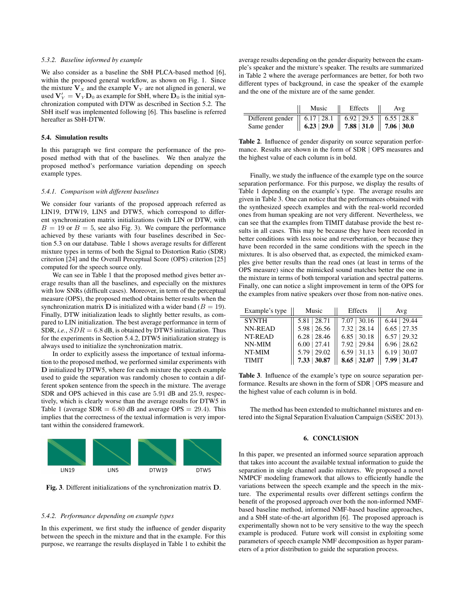#### *5.3.2. Baseline informed by example*

We also consider as a baseline the SbH PLCA-based method [6], within the proposed general workflow, as shown on Fig. 1. Since the mixture  $V_X$  and the example  $V_Y$  are not aligned in general, we used  $V'_Y = V_Y D_0$  as example for SbH, where  $\dot{D}_0$  is the initial synchronization computed with DTW as described in Section 5.2. The SbH itself was implemented following [6]. This baseline is referred hereafter as SbH-DTW.

#### 5.4. Simulation results

In this paragraph we first compare the performance of the proposed method with that of the baselines. We then analyze the proposed method's performance variation depending on speech example types.

#### *5.4.1. Comparison with different baselines*

We consider four variants of the proposed approach referred as LIN19, DTW19, LIN5 and DTW5, which correspond to different synchronization matrix initializations (with LIN or DTW, with  $B = 19$  or  $B = 5$ , see also Fig. 3). We compare the performance achieved by these variants with four baselines described in Section 5.3 on our database. Table 1 shows average results for different mixture types in terms of both the Signal to Distortion Ratio (SDR) criterion [24] and the Overall Perceptual Score (OPS) criterion [25] computed for the speech source only.

We can see in Table 1 that the proposed method gives better average results than all the baselines, and especially on the mixtures with low SNRs (difficult cases). Moreover, in term of the perceptual measure (OPS), the proposed method obtains better results when the synchronization matrix **D** is initialized with a wider band ( $B = 19$ ). Finally, DTW initialization leads to slightly better results, as compared to LIN initialization. The best average performance in term of SDR, *i.e.*,  $SDR = 6.8$  dB, is obtained by DTW5 initialization. Thus for the experiments in Section 5.4.2, DTW5 initialization strategy is always used to initialize the synchronization matrix.

In order to explicitly assess the importance of textual information to the proposed method, we performed similar experiments with D initialized by DTW5, where for each mixture the speech example used to guide the separation was randomly chosen to contain a different spoken sentence from the speech in the mixture. The average SDR and OPS achieved in this case are 5.91 dB and 25.9, respectively, which is clearly worse than the average results for DTW5 in Table 1 (average  $SDR = 6.80$  dB and average  $OPS = 29.4$ ). This implies that the correctness of the textual information is very important within the considered framework.



Fig. 3. Different initializations of the synchronization matrix D.

#### *5.4.2. Performance depending on example types*

In this experiment, we first study the influence of gender disparity between the speech in the mixture and that in the example. For this purpose, we rearrange the results displayed in Table 1 to exhibit the average results depending on the gender disparity between the example's speaker and the mixture's speaker. The results are summarized in Table 2 where the average performances are better, for both two different types of background, in case the speaker of the example and the one of the mixture are of the same gender.

|                                                                                          | Music | Effects                                                           | Avg |  |
|------------------------------------------------------------------------------------------|-------|-------------------------------------------------------------------|-----|--|
| Different gender $\begin{bmatrix} 6.17 & 28.1 & 6.92 & 29.5 & 6.55 & 28.8 \end{bmatrix}$ |       |                                                                   |     |  |
| Same gender                                                                              |       | $\parallel$ 6.23 29.0 $\parallel$ 7.88 31.0 $\parallel$ 7.06 30.0 |     |  |

Table 2. Influence of gender disparity on source separation performance. Results are shown in the form of SDR | OPS measures and the highest value of each column is in bold.

Finally, we study the influence of the example type on the source separation performance. For this purpose, we display the results of Table 1 depending on the example's type. The average results are given in Table 3. One can notice that the performances obtained with the synthesized speech examples and with the real-world recorded ones from human speaking are not very different. Nevertheless, we can see that the examples from TIMIT database provide the best results in all cases. This may be because they have been recorded in better conditions with less noise and reverberation, or because they have been recorded in the same conditions with the speech in the mixtures. It is also observed that, as expected, the mimicked examples give better results than the read ones (at least in terms of the OPS measure) since the mimicked sound matches better the one in the mixture in terms of both temporal variation and spectral patterns. Finally, one can notice a slight improvement in term of the OPS for the examples from native speakers over those from non-native ones.

| Example's type | Music             | Effects           | Avg               |  |  |
|----------------|-------------------|-------------------|-------------------|--|--|
| <b>SYNTH</b>   | $5.81 \mid 28.71$ | $7.07 \mid 30.16$ | $6.44$   29.44    |  |  |
| NN-READ        | 5.98   26.56      | $7.32 \mid 28.14$ | $6.65$   27.35    |  |  |
| NT-READ        | $6.28$   28.46    | $6.85$   30.18    | $6.57$   29.32    |  |  |
| NN-MIM         | $6.00 \mid 27.41$ | 7.92   29.84      | $6.96$   28.62    |  |  |
| NT-MIM         | $5.79 \mid 29.02$ | $6.59$   31.13    | $6.19$   30.07    |  |  |
| <b>TIMIT</b>   | 7.33   30.87      | $8.65$   32.07    | $7.99 \mid 31.47$ |  |  |

Table 3. Influence of the example's type on source separation performance. Results are shown in the form of SDR | OPS measure and the highest value of each column is in bold.

The method has been extended to multichannel mixtures and entered into the Signal Separation Evaluation Campaign (SiSEC 2013).

#### 6. CONCLUSION

In this paper, we presented an informed source separation approach that takes into account the available textual information to guide the separation in single channel audio mixtures. We proposed a novel NMPCF modeling framework that allows to efficiently handle the variations between the speech example and the speech in the mixture. The experimental results over different settings confirm the benefit of the proposed approach over both the non-informed NMFbased baseline method, informed NMF-based baseline approaches, and a SbH state-of-the-art algorithm [6]. The proposed approach is experimentally shown not to be very sensitive to the way the speech example is produced. Future work will consist in exploiting some parameters of speech example NMF decomposition as hyper parameters of a prior distribution to guide the separation process.